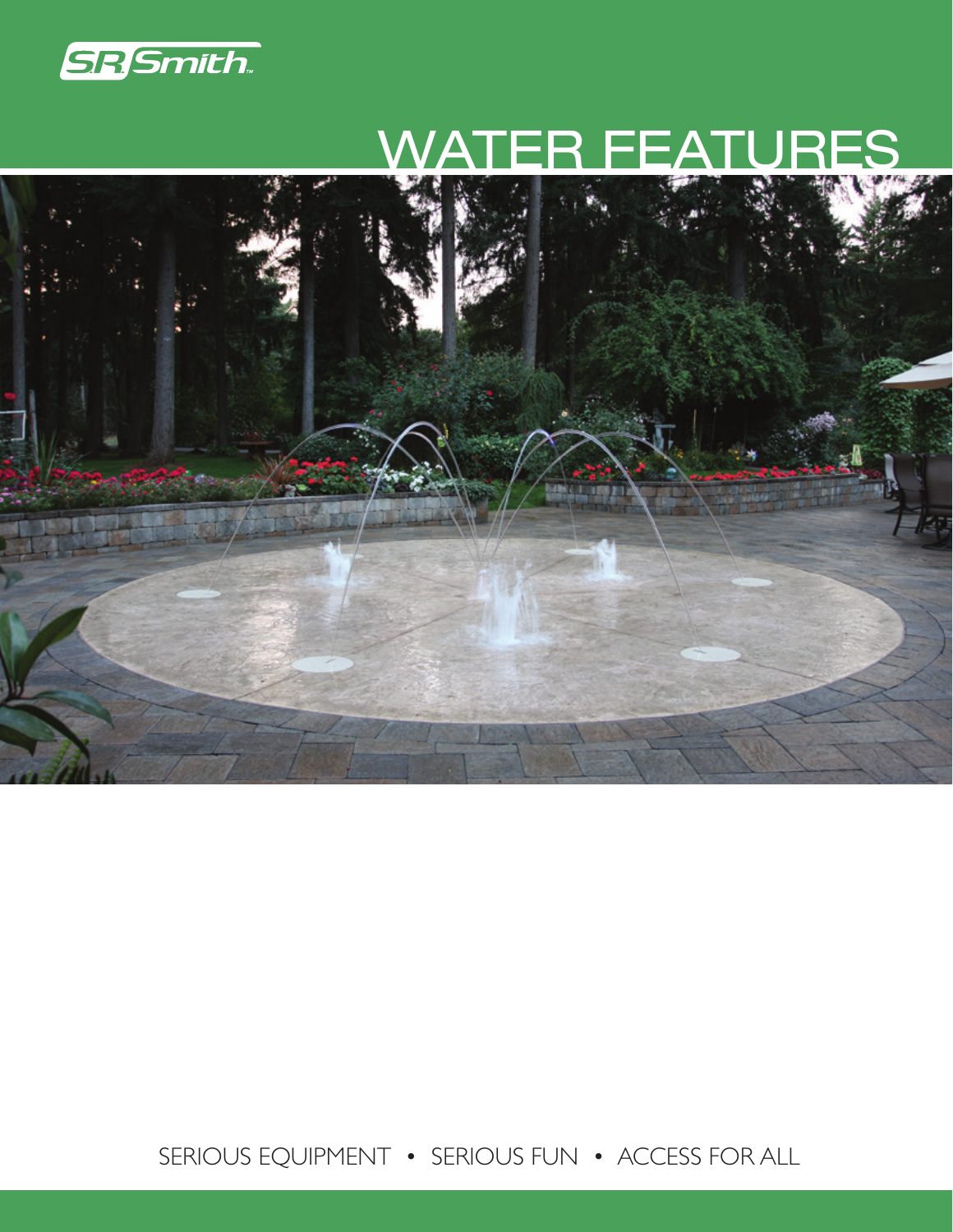

# WATER FEATURES



SERIOUS EQUIPMENT • SERIOUS FUN • ACCESS FOR ALL